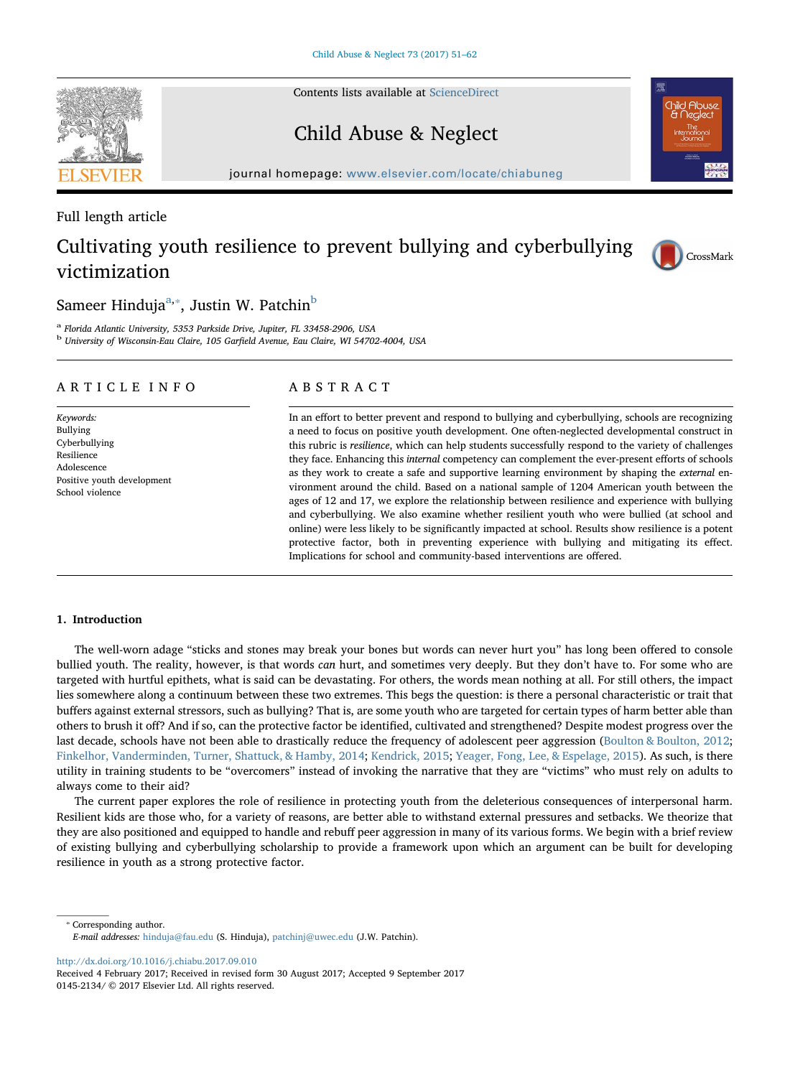Contents lists available at [ScienceDirect](http://www.sciencedirect.com/science/journal/01452134)

# Child Abuse & Neglect

journal homepage: [www.elsevier.com/locate/chiabuneg](https://www.elsevier.com/locate/chiabuneg)

#### Full length article

## Cultivating youth resilience to prevent bullying and cyberbullying victimization

### Sameer Hinduja $a^a$ , $\bar{a}$ , Justin W. Patchin $^b$

<sup>a</sup> Florida Atlantic University, 5353 Parkside Drive, Jupiter, FL 33458-2906, USA <sup>b</sup> University of Wisconsin-Eau Claire, 105 Garfield Avenue, Eau Claire, WI 54702-4004, USA

#### ARTICLE INFO

Keywords: Bullying Cyberbullying Resilience Adolescence Positive youth development School violence

#### ABSTRACT

In an effort to better prevent and respond to bullying and cyberbullying, schools are recognizing a need to focus on positive youth development. One often-neglected developmental construct in this rubric is resilience, which can help students successfully respond to the variety of challenges they face. Enhancing this *internal* competency can complement the ever-present efforts of schools as they work to create a safe and supportive learning environment by shaping the external environment around the child. Based on a national sample of 1204 American youth between the ages of 12 and 17, we explore the relationship between resilience and experience with bullying and cyberbullying. We also examine whether resilient youth who were bullied (at school and online) were less likely to be significantly impacted at school. Results show resilience is a potent protective factor, both in preventing experience with bullying and mitigating its effect. Implications for school and community-based interventions are offered.

#### 1. Introduction

The well-worn adage "sticks and stones may break your bones but words can never hurt you" has long been offered to console bullied youth. The reality, however, is that words can hurt, and sometimes very deeply. But they don't have to. For some who are targeted with hurtful epithets, what is said can be devastating. For others, the words mean nothing at all. For still others, the impact lies somewhere along a continuum between these two extremes. This begs the question: is there a personal characteristic or trait that buffers against external stressors, such as bullying? That is, are some youth who are targeted for certain types of harm better able than others to brush it off? And if so, can the protective factor be identified, cultivated and strengthened? Despite modest progress over the last decade, schools have not been able to drastically reduce the frequency of adolescent peer aggression (Boulton & Boulton, 2012; Finkelhor, Vanderminden, Turner, Shattuck, & Hamby, 2014; Kendrick, 2015; Yeager, Fong, Lee, & Espelage, 2015). As such, is there utility in training students to be "overcomers" instead of invoking the narrative that they are "victims" who must rely on adults to always come to their aid?

The current paper explores the role of resilience in protecting youth from the deleterious consequences of interpersonal harm. Resilient kids are those who, for a variety of reasons, are better able to withstand external pressures and setbacks. We theorize that they are also positioned and equipped to handle and rebuff peer aggression in many of its various forms. We begin with a brief review of existing bullying and cyberbullying scholarship to provide a framework upon which an argument can be built for developing resilience in youth as a strong protective factor.

⁎ Corresponding author. E-mail addresses: [hinduja@fau.edu](mailto:hinduja@fau.edu) (S. Hinduja), [patchinj@uwec.edu](mailto:patchinj@uwec.edu) (J.W. Patchin).

<http://dx.doi.org/10.1016/j.chiabu.2017.09.010>

Received 4 February 2017; Received in revised form 30 August 2017; Accepted 9 September 2017 0145-2134/ © 2017 Elsevier Ltd. All rights reserved.





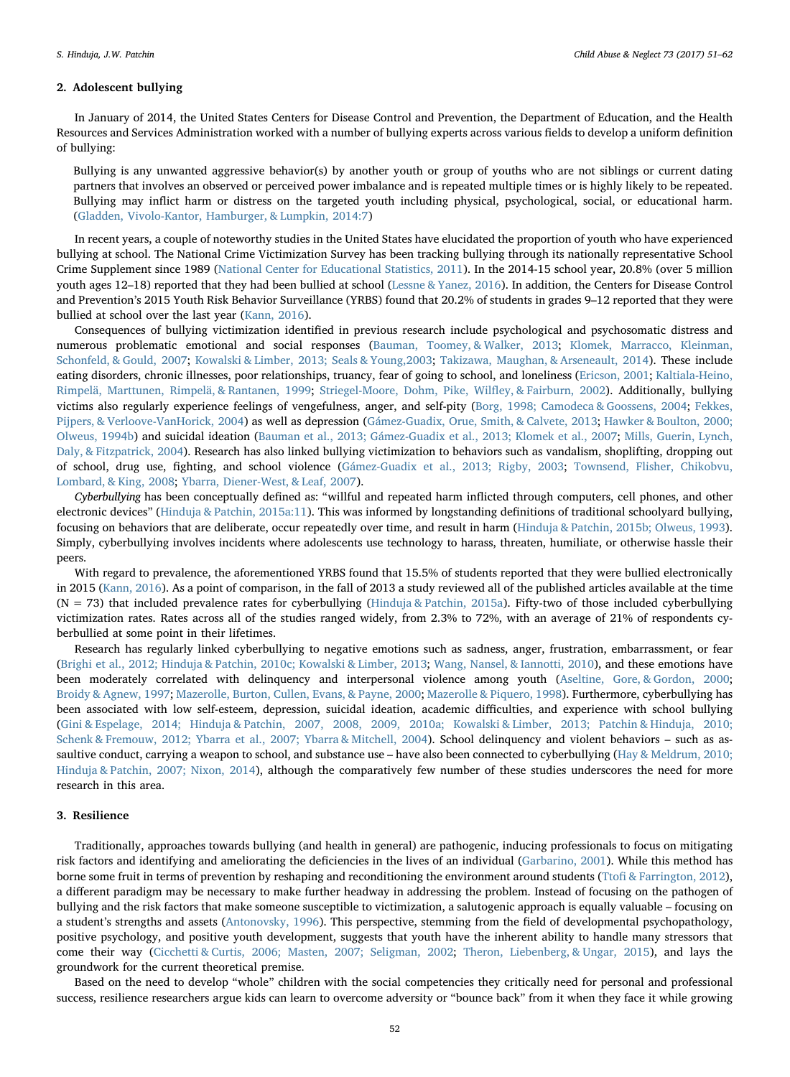#### 2. Adolescent bullying

In January of 2014, the United States Centers for Disease Control and Prevention, the Department of Education, and the Health Resources and Services Administration worked with a number of bullying experts across various fields to develop a uniform definition of bullying:

Bullying is any unwanted aggressive behavior(s) by another youth or group of youths who are not siblings or current dating partners that involves an observed or perceived power imbalance and is repeated multiple times or is highly likely to be repeated. Bullying may inflict harm or distress on the targeted youth including physical, psychological, social, or educational harm. (Gladden, Vivolo-Kantor, Hamburger, & Lumpkin, 2014:7)

In recent years, a couple of noteworthy studies in the United States have elucidated the proportion of youth who have experienced bullying at school. The National Crime Victimization Survey has been tracking bullying through its nationally representative School Crime Supplement since 1989 (National Center for Educational Statistics, 2011). In the 2014-15 school year, 20.8% (over 5 million youth ages 12–18) reported that they had been bullied at school (Lessne & Yanez, 2016). In addition, the Centers for Disease Control and Prevention's 2015 Youth Risk Behavior Surveillance (YRBS) found that 20.2% of students in grades 9–12 reported that they were bullied at school over the last year (Kann, 2016).

Consequences of bullying victimization identified in previous research include psychological and psychosomatic distress and numerous problematic emotional and social responses (Bauman, Toomey, & Walker, 2013; Klomek, Marracco, Kleinman, Schonfeld, & Gould, 2007; Kowalski & Limber, 2013; Seals & Young,2003; Takizawa, Maughan, & Arseneault, 2014). These include eating disorders, chronic illnesses, poor relationships, truancy, fear of going to school, and loneliness (Ericson, 2001; Kaltiala-Heino, Rimpelä, Marttunen, Rimpelä, & Rantanen, 1999; Striegel-Moore, Dohm, Pike, Wilfley, & Fairburn, 2002). Additionally, bullying victims also regularly experience feelings of vengefulness, anger, and self-pity (Borg, 1998; Camodeca & Goossens, 2004; Fekkes, Pijpers, & Verloove-VanHorick, 2004) as well as depression (Gámez-Guadix, Orue, Smith, & Calvete, 2013; Hawker & Boulton, 2000; Olweus, 1994b) and suicidal ideation (Bauman et al., 2013; Gámez-Guadix et al., 2013; Klomek et al., 2007; Mills, Guerin, Lynch, Daly, & Fitzpatrick, 2004). Research has also linked bullying victimization to behaviors such as vandalism, shoplifting, dropping out of school, drug use, fighting, and school violence (Gámez-Guadix et al., 2013; Rigby, 2003; Townsend, Flisher, Chikobvu, Lombard, & King, 2008; Ybarra, Diener-West, & Leaf, 2007).

Cyberbullying has been conceptually defined as: "willful and repeated harm inflicted through computers, cell phones, and other electronic devices" (Hinduja & Patchin, 2015a:11). This was informed by longstanding definitions of traditional schoolyard bullying, focusing on behaviors that are deliberate, occur repeatedly over time, and result in harm (Hinduja & Patchin, 2015b; Olweus, 1993). Simply, cyberbullying involves incidents where adolescents use technology to harass, threaten, humiliate, or otherwise hassle their peers.

With regard to prevalence, the aforementioned YRBS found that 15.5% of students reported that they were bullied electronically in 2015 (Kann, 2016). As a point of comparison, in the fall of 2013 a study reviewed all of the published articles available at the time (N = 73) that included prevalence rates for cyberbullying (Hinduja & Patchin, 2015a). Fifty-two of those included cyberbullying victimization rates. Rates across all of the studies ranged widely, from 2.3% to 72%, with an average of 21% of respondents cyberbullied at some point in their lifetimes.

Research has regularly linked cyberbullying to negative emotions such as sadness, anger, frustration, embarrassment, or fear (Brighi et al., 2012; Hinduja & Patchin, 2010c; Kowalski & Limber, 2013; Wang, Nansel, & Iannotti, 2010), and these emotions have been moderately correlated with delinquency and interpersonal violence among youth (Aseltine, Gore, & Gordon, 2000; Broidy & Agnew, 1997; Mazerolle, Burton, Cullen, Evans, & Payne, 2000; Mazerolle & Piquero, 1998). Furthermore, cyberbullying has been associated with low self-esteem, depression, suicidal ideation, academic difficulties, and experience with school bullying (Gini & Espelage, 2014; Hinduja & Patchin, 2007, 2008, 2009, 2010a; Kowalski & Limber, 2013; Patchin & Hinduja, 2010; Schenk & Fremouw, 2012; Ybarra et al., 2007; Ybarra & Mitchell, 2004). School delinquency and violent behaviors – such as assaultive conduct, carrying a weapon to school, and substance use – have also been connected to cyberbullying (Hay & Meldrum, 2010; Hinduja & Patchin, 2007; Nixon, 2014), although the comparatively few number of these studies underscores the need for more research in this area.

#### 3. Resilience

Traditionally, approaches towards bullying (and health in general) are pathogenic, inducing professionals to focus on mitigating risk factors and identifying and ameliorating the deficiencies in the lives of an individual (Garbarino, 2001). While this method has borne some fruit in terms of prevention by reshaping and reconditioning the environment around students (Ttofi & Farrington, 2012), a different paradigm may be necessary to make further headway in addressing the problem. Instead of focusing on the pathogen of bullying and the risk factors that make someone susceptible to victimization, a salutogenic approach is equally valuable – focusing on a student's strengths and assets (Antonovsky, 1996). This perspective, stemming from the field of developmental psychopathology, positive psychology, and positive youth development, suggests that youth have the inherent ability to handle many stressors that come their way (Cicchetti & Curtis, 2006; Masten, 2007; Seligman, 2002; Theron, Liebenberg, & Ungar, 2015), and lays the groundwork for the current theoretical premise.

Based on the need to develop "whole" children with the social competencies they critically need for personal and professional success, resilience researchers argue kids can learn to overcome adversity or "bounce back" from it when they face it while growing